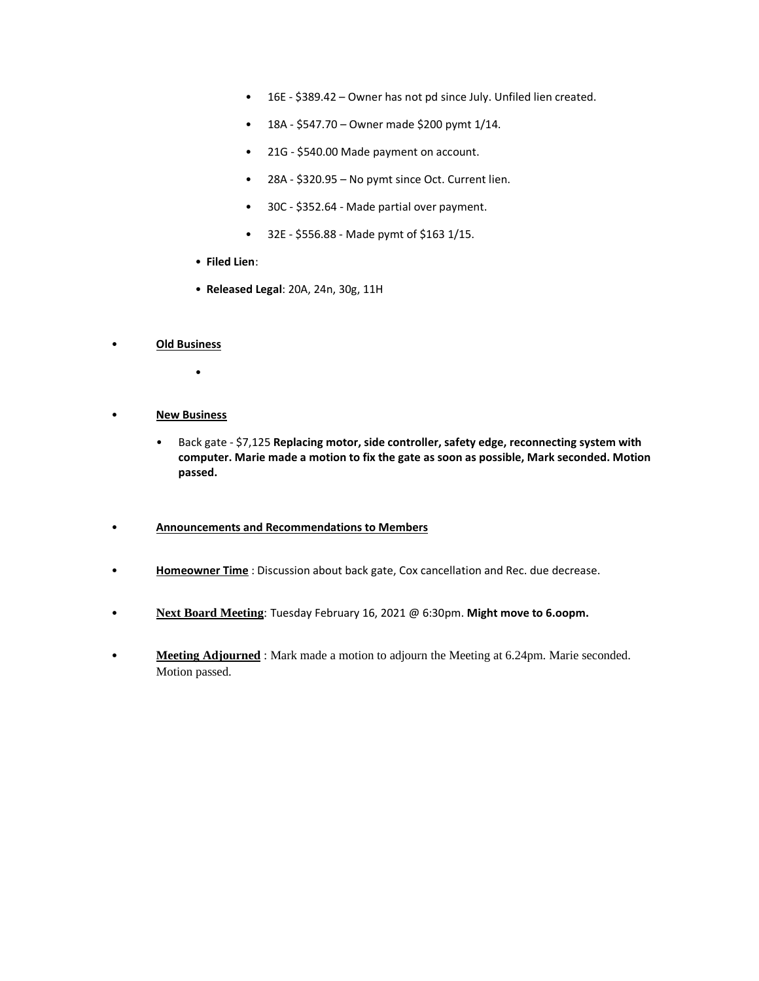- 16E \$389.42 Owner has not pd since July. Unfiled lien created.
- $\bullet$  18A \$547.70 Owner made \$200 pymt 1/14.
- 21G \$540.00 Made payment on account.
- 28A \$320.95 No pymt since Oct. Current lien.
- 30C \$352.64 Made partial over payment.
- 32E \$556.88 Made pymt of \$163 1/15.
- **Filed Lien**:
- **Released Legal**: 20A, 24n, 30g, 11H

#### • **Old Business**

- •
- **New Business**
	- Back gate \$7,125 **Replacing motor, side controller, safety edge, reconnecting system with computer. Marie made a motion to fix the gate as soon as possible, Mark seconded. Motion passed.**

#### • **Announcements and Recommendations to Members**

- **Homeowner Time** : Discussion about back gate, Cox cancellation and Rec. due decrease.
- **Next Board Meeting**: Tuesday February 16, 2021 @ 6:30pm. **Might move to 6.oopm.**
- **Meeting Adjourned** : Mark made a motion to adjourn the Meeting at 6.24pm. Marie seconded. Motion passed.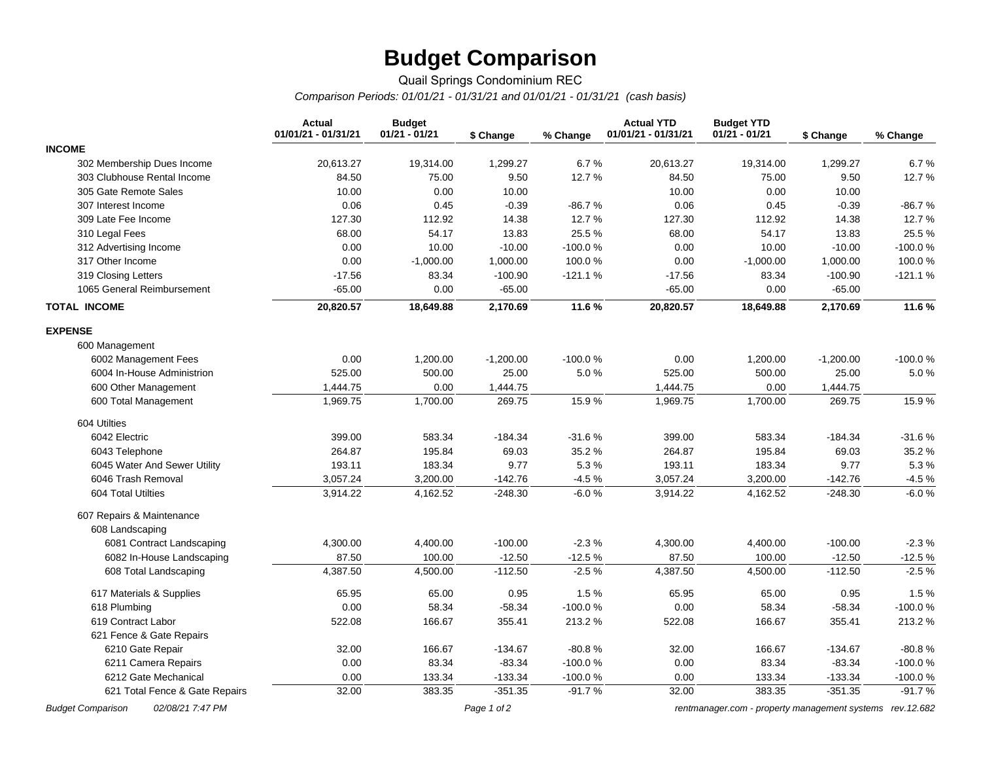# **Budget Comparison**

### Quail Springs Condominium REC *Comparison Periods: 01/01/21 - 01/31/21 and 01/01/21 - 01/31/21 (cash basis)*

|                                              | <b>Actual</b><br>01/01/21 - 01/31/21 | <b>Budget</b><br>$01/21 - 01/21$ | \$ Change   | % Change  | <b>Actual YTD</b><br>01/01/21 - 01/31/21 | <b>Budget YTD</b><br>$01/21 - 01/21$                      | \$ Change   | % Change  |
|----------------------------------------------|--------------------------------------|----------------------------------|-------------|-----------|------------------------------------------|-----------------------------------------------------------|-------------|-----------|
| <b>INCOME</b>                                |                                      |                                  |             |           |                                          |                                                           |             |           |
| 302 Membership Dues Income                   | 20,613.27                            | 19,314.00                        | 1,299.27    | 6.7%      | 20,613.27                                | 19,314.00                                                 | 1,299.27    | 6.7%      |
| 303 Clubhouse Rental Income                  | 84.50                                | 75.00                            | 9.50        | 12.7%     | 84.50                                    | 75.00                                                     | 9.50        | 12.7%     |
| 305 Gate Remote Sales                        | 10.00                                | 0.00                             | 10.00       |           | 10.00                                    | 0.00                                                      | 10.00       |           |
| 307 Interest Income                          | 0.06                                 | 0.45                             | $-0.39$     | $-86.7%$  | 0.06                                     | 0.45                                                      | $-0.39$     | $-86.7%$  |
| 309 Late Fee Income                          | 127.30                               | 112.92                           | 14.38       | 12.7%     | 127.30                                   | 112.92                                                    | 14.38       | 12.7%     |
| 310 Legal Fees                               | 68.00                                | 54.17                            | 13.83       | 25.5%     | 68.00                                    | 54.17                                                     | 13.83       | 25.5%     |
| 312 Advertising Income                       | 0.00                                 | 10.00                            | $-10.00$    | $-100.0%$ | 0.00                                     | 10.00                                                     | $-10.00$    | $-100.0%$ |
| 317 Other Income                             | 0.00                                 | $-1,000.00$                      | 1,000.00    | 100.0%    | 0.00                                     | $-1,000.00$                                               | 1,000.00    | 100.0%    |
| 319 Closing Letters                          | $-17.56$                             | 83.34                            | $-100.90$   | $-121.1%$ | $-17.56$                                 | 83.34                                                     | $-100.90$   | $-121.1%$ |
| 1065 General Reimbursement                   | $-65.00$                             | 0.00                             | $-65.00$    |           | $-65.00$                                 | 0.00                                                      | $-65.00$    |           |
| <b>TOTAL INCOME</b>                          | 20,820.57                            | 18,649.88                        | 2,170.69    | 11.6%     | 20,820.57                                | 18,649.88                                                 | 2,170.69    | 11.6%     |
| <b>EXPENSE</b>                               |                                      |                                  |             |           |                                          |                                                           |             |           |
| 600 Management                               |                                      |                                  |             |           |                                          |                                                           |             |           |
| 6002 Management Fees                         | 0.00                                 | 1,200.00                         | $-1,200.00$ | $-100.0%$ | 0.00                                     | 1,200.00                                                  | $-1,200.00$ | -100.0%   |
| 6004 In-House Administrion                   | 525.00                               | 500.00                           | 25.00       | 5.0%      | 525.00                                   | 500.00                                                    | 25.00       | 5.0%      |
| 600 Other Management                         | 1,444.75                             | 0.00                             | 1,444.75    |           | 1,444.75                                 | 0.00                                                      | 1,444.75    |           |
| 600 Total Management                         | 1,969.75                             | 1,700.00                         | 269.75      | 15.9%     | 1,969.75                                 | 1,700.00                                                  | 269.75      | 15.9%     |
| 604 Utilties                                 |                                      |                                  |             |           |                                          |                                                           |             |           |
| 6042 Electric                                | 399.00                               | 583.34                           | $-184.34$   | $-31.6%$  | 399.00                                   | 583.34                                                    | $-184.34$   | $-31.6%$  |
| 6043 Telephone                               | 264.87                               | 195.84                           | 69.03       | 35.2%     | 264.87                                   | 195.84                                                    | 69.03       | 35.2 %    |
| 6045 Water And Sewer Utility                 | 193.11                               | 183.34                           | 9.77        | 5.3%      | 193.11                                   | 183.34                                                    | 9.77        | 5.3%      |
| 6046 Trash Removal                           | 3,057.24                             | 3,200.00                         | $-142.76$   | $-4.5%$   | 3,057.24                                 | 3,200.00                                                  | $-142.76$   | $-4.5%$   |
| 604 Total Utilties                           | 3,914.22                             | 4,162.52                         | $-248.30$   | $-6.0%$   | 3,914.22                                 | 4,162.52                                                  | $-248.30$   | $-6.0%$   |
| 607 Repairs & Maintenance                    |                                      |                                  |             |           |                                          |                                                           |             |           |
| 608 Landscaping                              |                                      |                                  |             |           |                                          |                                                           |             |           |
| 6081 Contract Landscaping                    | 4,300.00                             | 4,400.00                         | $-100.00$   | $-2.3%$   | 4,300.00                                 | 4,400.00                                                  | $-100.00$   | $-2.3%$   |
| 6082 In-House Landscaping                    | 87.50                                | 100.00                           | $-12.50$    | $-12.5%$  | 87.50                                    | 100.00                                                    | $-12.50$    | $-12.5%$  |
| 608 Total Landscaping                        | 4,387.50                             | 4,500.00                         | $-112.50$   | $-2.5%$   | 4,387.50                                 | 4,500.00                                                  | $-112.50$   | $-2.5%$   |
| 617 Materials & Supplies                     | 65.95                                | 65.00                            | 0.95        | 1.5%      | 65.95                                    | 65.00                                                     | 0.95        | 1.5%      |
| 618 Plumbing                                 | 0.00                                 | 58.34                            | $-58.34$    | $-100.0%$ | 0.00                                     | 58.34                                                     | $-58.34$    | $-100.0%$ |
| 619 Contract Labor                           | 522.08                               | 166.67                           | 355.41      | 213.2%    | 522.08                                   | 166.67                                                    | 355.41      | 213.2 %   |
| 621 Fence & Gate Repairs                     |                                      |                                  |             |           |                                          |                                                           |             |           |
| 6210 Gate Repair                             | 32.00                                | 166.67                           | $-134.67$   | $-80.8%$  | 32.00                                    | 166.67                                                    | $-134.67$   | $-80.8%$  |
| 6211 Camera Repairs                          | 0.00                                 | 83.34                            | $-83.34$    | $-100.0%$ | 0.00                                     | 83.34                                                     | $-83.34$    | $-100.0%$ |
| 6212 Gate Mechanical                         | 0.00                                 | 133.34                           | $-133.34$   | $-100.0%$ | 0.00                                     | 133.34                                                    | $-133.34$   | -100.0%   |
| 621 Total Fence & Gate Repairs               | 32.00                                | 383.35                           | $-351.35$   | $-91.7%$  | 32.00                                    | 383.35                                                    | $-351.35$   | $-91.7%$  |
| 02/08/21 7:47 PM<br><b>Budget Comparison</b> |                                      |                                  | Page 1 of 2 |           |                                          | rentmanager.com - property management systems rev. 12.682 |             |           |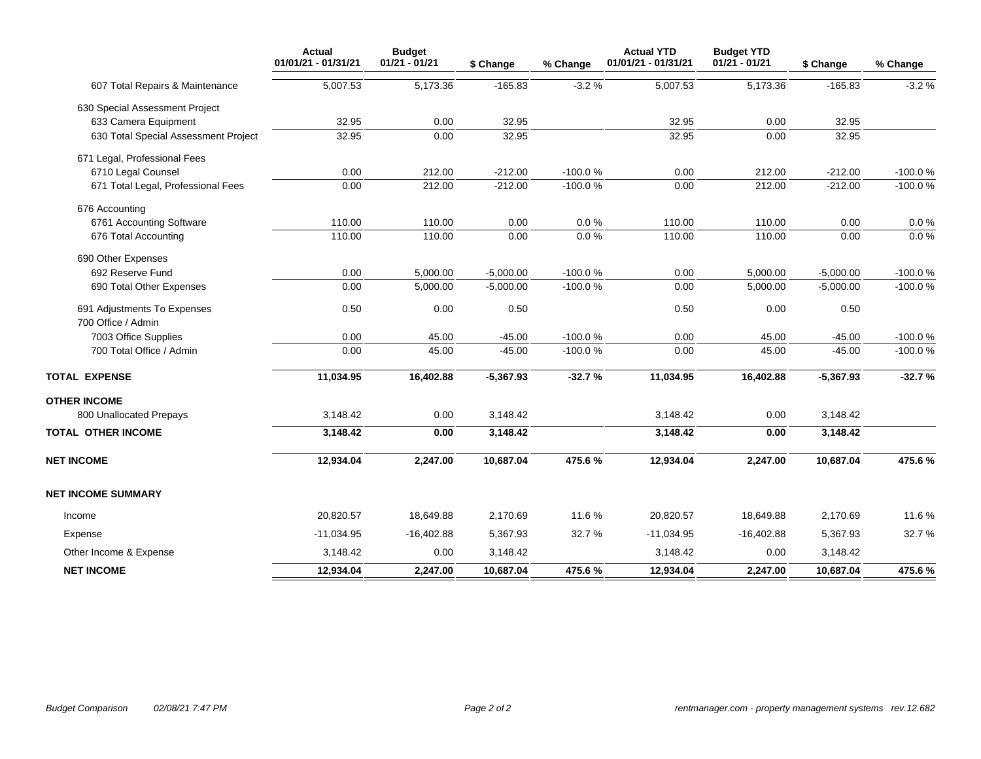|                                      | <b>Actual</b><br>01/01/21 - 01/31/21 | <b>Budget</b><br>$01/21 - 01/21$ | \$ Change   | % Change  | <b>Actual YTD</b><br>01/01/21 - 01/31/21 | <b>Budget YTD</b><br>$01/21 - 01/21$ | \$ Change   | % Change  |
|--------------------------------------|--------------------------------------|----------------------------------|-------------|-----------|------------------------------------------|--------------------------------------|-------------|-----------|
| 607 Total Repairs & Maintenance      | 5,007.53                             | 5,173.36                         | $-165.83$   | $-3.2%$   | 5,007.53                                 | 5,173.36                             | $-165.83$   | $-3.2%$   |
| 630 Special Assessment Project       |                                      |                                  |             |           |                                          |                                      |             |           |
| 633 Camera Equipment                 | 32.95                                | 0.00                             | 32.95       |           | 32.95                                    | 0.00                                 | 32.95       |           |
| 630 Total Special Assessment Project | 32.95                                | 0.00                             | 32.95       |           | 32.95                                    | 0.00                                 | 32.95       |           |
| 671 Legal, Professional Fees         |                                      |                                  |             |           |                                          |                                      |             |           |
| 6710 Legal Counsel                   | 0.00                                 | 212.00                           | $-212.00$   | $-100.0%$ | 0.00                                     | 212.00                               | $-212.00$   | $-100.0%$ |
| 671 Total Legal, Professional Fees   | 0.00                                 | 212.00                           | $-212.00$   | $-100.0%$ | 0.00                                     | 212.00                               | $-212.00$   | $-100.0%$ |
| 676 Accounting                       |                                      |                                  |             |           |                                          |                                      |             |           |
| 6761 Accounting Software             | 110.00                               | 110.00                           | 0.00        | 0.0%      | 110.00                                   | 110.00                               | 0.00        | 0.0 %     |
| 676 Total Accounting                 | 110.00                               | 110.00                           | 0.00        | $0.0\%$   | 110.00                                   | 110.00                               | 0.00        | $0.0 \%$  |
| 690 Other Expenses                   |                                      |                                  |             |           |                                          |                                      |             |           |
| 692 Reserve Fund                     | 0.00                                 | 5,000.00                         | $-5,000.00$ | $-100.0%$ | 0.00                                     | 5,000.00                             | $-5,000.00$ | $-100.0%$ |
| 690 Total Other Expenses             | 0.00                                 | 5,000.00                         | $-5,000.00$ | $-100.0%$ | 0.00                                     | 5,000.00                             | $-5,000.00$ | $-100.0%$ |
| 691 Adjustments To Expenses          | 0.50                                 | 0.00                             | 0.50        |           | 0.50                                     | 0.00                                 | 0.50        |           |
| 700 Office / Admin                   |                                      |                                  |             |           |                                          |                                      |             |           |
| 7003 Office Supplies                 | 0.00                                 | 45.00                            | $-45.00$    | $-100.0%$ | 0.00                                     | 45.00                                | $-45.00$    | $-100.0%$ |
| 700 Total Office / Admin             | 0.00                                 | 45.00                            | $-45.00$    | $-100.0%$ | 0.00                                     | 45.00                                | $-45.00$    | $-100.0%$ |
| <b>TOTAL EXPENSE</b>                 | 11,034.95                            | 16,402.88                        | $-5,367.93$ | $-32.7%$  | 11,034.95                                | 16,402.88                            | $-5,367.93$ | $-32.7%$  |
| <b>OTHER INCOME</b>                  |                                      |                                  |             |           |                                          |                                      |             |           |
| 800 Unallocated Prepays              | 3,148.42                             | 0.00                             | 3,148.42    |           | 3,148.42                                 | 0.00                                 | 3,148.42    |           |
| TOTAL OTHER INCOME                   | 3,148.42                             | 0.00                             | 3,148.42    |           | 3,148.42                                 | 0.00                                 | 3,148.42    |           |
| <b>NET INCOME</b>                    | 12,934.04                            | 2,247.00                         | 10,687.04   | 475.6%    | 12,934.04                                | 2,247.00                             | 10,687.04   | 475.6%    |
| <b>NET INCOME SUMMARY</b>            |                                      |                                  |             |           |                                          |                                      |             |           |
| Income                               | 20,820.57                            | 18,649.88                        | 2,170.69    | 11.6%     | 20,820.57                                | 18,649.88                            | 2,170.69    | 11.6%     |
| Expense                              | $-11,034.95$                         | $-16,402.88$                     | 5,367.93    | 32.7%     | $-11,034.95$                             | $-16,402.88$                         | 5,367.93    | 32.7%     |
| Other Income & Expense               | 3,148.42                             | 0.00                             | 3,148.42    |           | 3,148.42                                 | 0.00                                 | 3,148.42    |           |
| <b>NET INCOME</b>                    | 12,934.04                            | 2,247.00                         | 10,687.04   | 475.6%    | 12,934.04                                | 2,247.00                             | 10,687.04   | 475.6%    |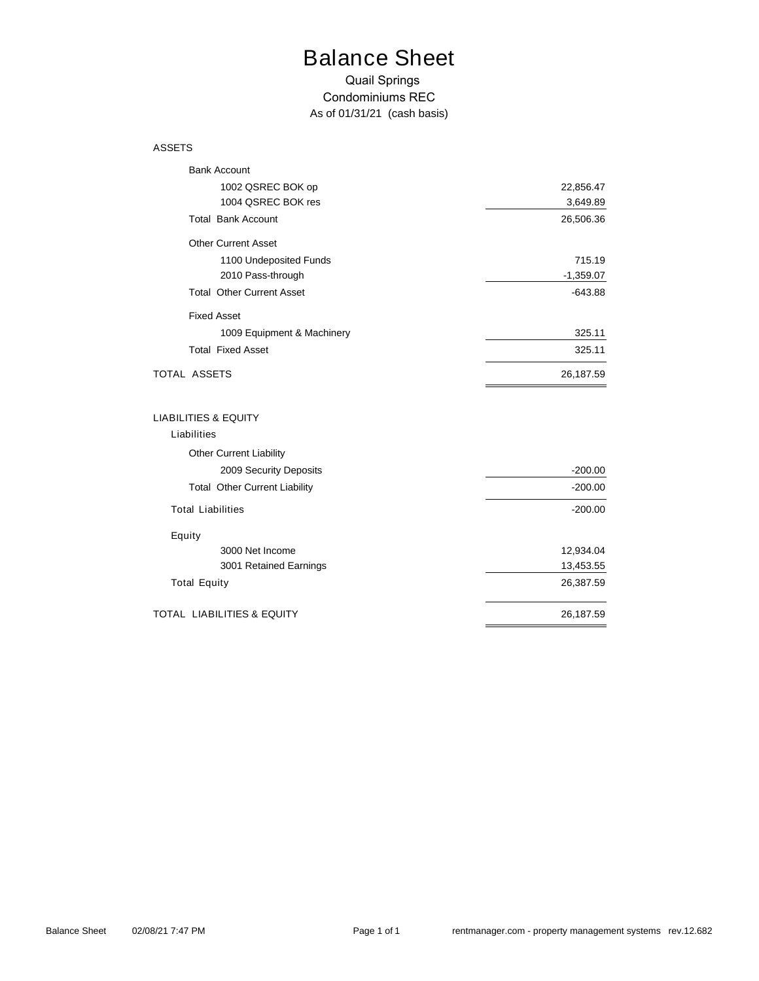# Balance Sheet

### Quail Springs Condominiums REC *As of 01/31/21 (cash basis)*

#### ASSETS

| <b>Bank Account</b>                   |             |
|---------------------------------------|-------------|
| 1002 QSREC BOK op                     | 22,856.47   |
| 1004 QSREC BOK res                    | 3,649.89    |
| <b>Total Bank Account</b>             | 26,506.36   |
| <b>Other Current Asset</b>            |             |
| 1100 Undeposited Funds                | 715.19      |
| 2010 Pass-through                     | $-1,359.07$ |
| <b>Total Other Current Asset</b>      | $-643.88$   |
| <b>Fixed Asset</b>                    |             |
| 1009 Equipment & Machinery            | 325.11      |
| <b>Total Fixed Asset</b>              | 325.11      |
| TOTAL ASSETS                          | 26,187.59   |
| <b>LIABILITIES &amp; EQUITY</b>       |             |
| Liabilities                           |             |
| <b>Other Current Liability</b>        |             |
| 2009 Security Deposits                | $-200.00$   |
| <b>Total Other Current Liability</b>  | $-200.00$   |
| <b>Total Liabilities</b>              | $-200.00$   |
| Equity                                |             |
| 3000 Net Income                       | 12,934.04   |
| 3001 Retained Earnings                | 13,453.55   |
| <b>Total Equity</b>                   | 26,387.59   |
| <b>TOTAL LIABILITIES &amp; EQUITY</b> | 26,187.59   |
|                                       |             |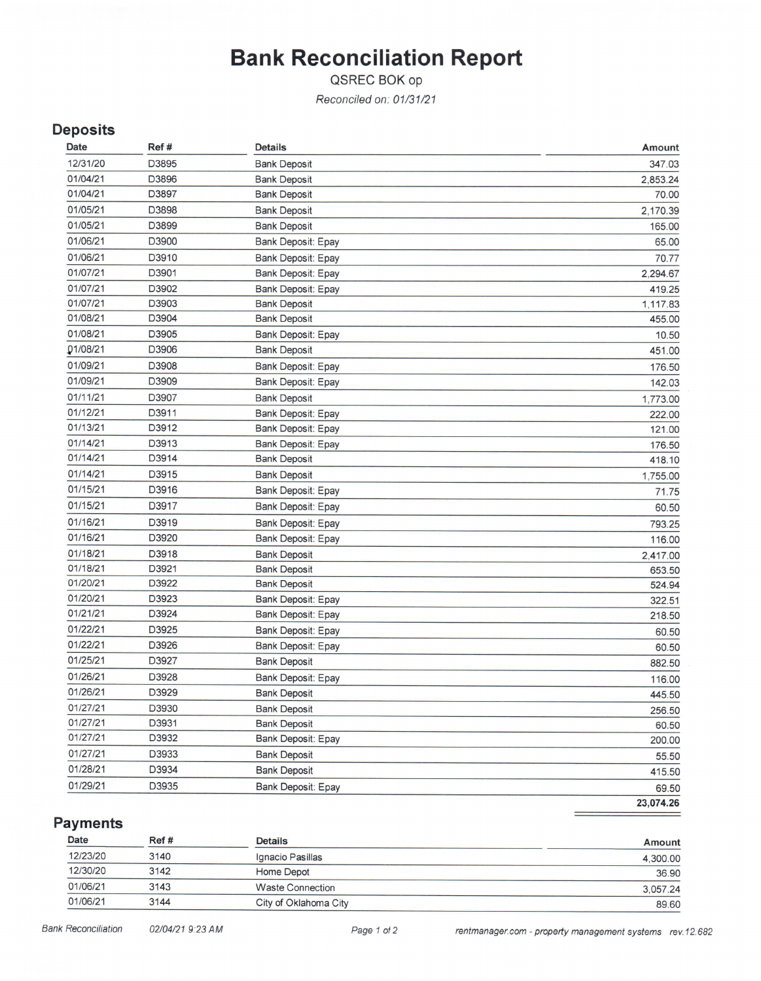# **Bank Reconciliation Report**

QSREC BOK op

Reconciled on: 01/31/21

## **Deposits**

| Date     | Ref#  | <b>Details</b>            | Amount    |
|----------|-------|---------------------------|-----------|
| 12/31/20 | D3895 | <b>Bank Deposit</b>       | 347.03    |
| 01/04/21 | D3896 | <b>Bank Deposit</b>       | 2,853.24  |
| 01/04/21 | D3897 | <b>Bank Deposit</b>       | 70.00     |
| 01/05/21 | D3898 | <b>Bank Deposit</b>       | 2,170.39  |
| 01/05/21 | D3899 | <b>Bank Deposit</b>       | 165.00    |
| 01/06/21 | D3900 | Bank Deposit: Epay        | 65.00     |
| 01/06/21 | D3910 | <b>Bank Deposit: Epay</b> | 70.77     |
| 01/07/21 | D3901 | Bank Deposit: Epay        | 2,294.67  |
| 01/07/21 | D3902 | Bank Deposit: Epay        | 419.25    |
| 01/07/21 | D3903 | <b>Bank Deposit</b>       | 1,117.83  |
| 01/08/21 | D3904 | <b>Bank Deposit</b>       | 455.00    |
| 01/08/21 | D3905 | Bank Deposit: Epay        | 10.50     |
| 01/08/21 | D3906 | <b>Bank Deposit</b>       | 451.00    |
| 01/09/21 | D3908 | Bank Deposit: Epay        | 176.50    |
| 01/09/21 | D3909 | <b>Bank Deposit: Epay</b> | 142.03    |
| 01/11/21 | D3907 | <b>Bank Deposit</b>       | 1,773.00  |
| 01/12/21 | D3911 | Bank Deposit: Epay        | 222.00    |
| 01/13/21 | D3912 | Bank Deposit: Epay        | 121.00    |
| 01/14/21 | D3913 | <b>Bank Deposit: Epay</b> | 176.50    |
| 01/14/21 | D3914 | <b>Bank Deposit</b>       | 418.10    |
| 01/14/21 | D3915 | <b>Bank Deposit</b>       | 1,755.00  |
| 01/15/21 | D3916 | Bank Deposit: Epay        | 71.75     |
| 01/15/21 | D3917 | Bank Deposit: Epay        | 60.50     |
| 01/16/21 | D3919 | Bank Deposit: Epay        | 793.25    |
| 01/16/21 | D3920 | Bank Deposit: Epay        | 116.00    |
| 01/18/21 | D3918 | <b>Bank Deposit</b>       | 2,417.00  |
| 01/18/21 | D3921 | <b>Bank Deposit</b>       | 653.50    |
| 01/20/21 | D3922 | <b>Bank Deposit</b>       | 524.94    |
| 01/20/21 | D3923 | <b>Bank Deposit: Epay</b> | 322.51    |
| 01/21/21 | D3924 | Bank Deposit: Epay        | 218.50    |
| 01/22/21 | D3925 | Bank Deposit: Epay        | 60.50     |
| 01/22/21 | D3926 | <b>Bank Deposit: Epay</b> | 60.50     |
| 01/25/21 | D3927 | <b>Bank Deposit</b>       | 882.50    |
| 01/26/21 | D3928 | Bank Deposit: Epay        | 116.00    |
| 01/26/21 | D3929 | <b>Bank Deposit</b>       | 445.50    |
| 01/27/21 | D3930 | <b>Bank Deposit</b>       | 256.50    |
| 01/27/21 | D3931 | <b>Bank Deposit</b>       | 60.50     |
| 01/27/21 | D3932 | Bank Deposit: Epay        | 200.00    |
| 01/27/21 | D3933 | <b>Bank Deposit</b>       | 55.50     |
| 01/28/21 | D3934 | <b>Bank Deposit</b>       | 415.50    |
| 01/29/21 | D3935 | Bank Deposit: Epay        | 69.50     |
|          |       |                           | 23,074.26 |
|          |       |                           |           |

**Payments** 

| Date     | Ref# | <b>Details</b>          | Amount   |
|----------|------|-------------------------|----------|
| 12/23/20 | 3140 | Ignacio Pasillas        | 4,300.00 |
| 12/30/20 | 3142 | Home Depot              | 36.90    |
| 01/06/21 | 3143 | <b>Waste Connection</b> | 3,057.24 |
| 01/06/21 | 3144 | City of Oklahoma City   | 89.60    |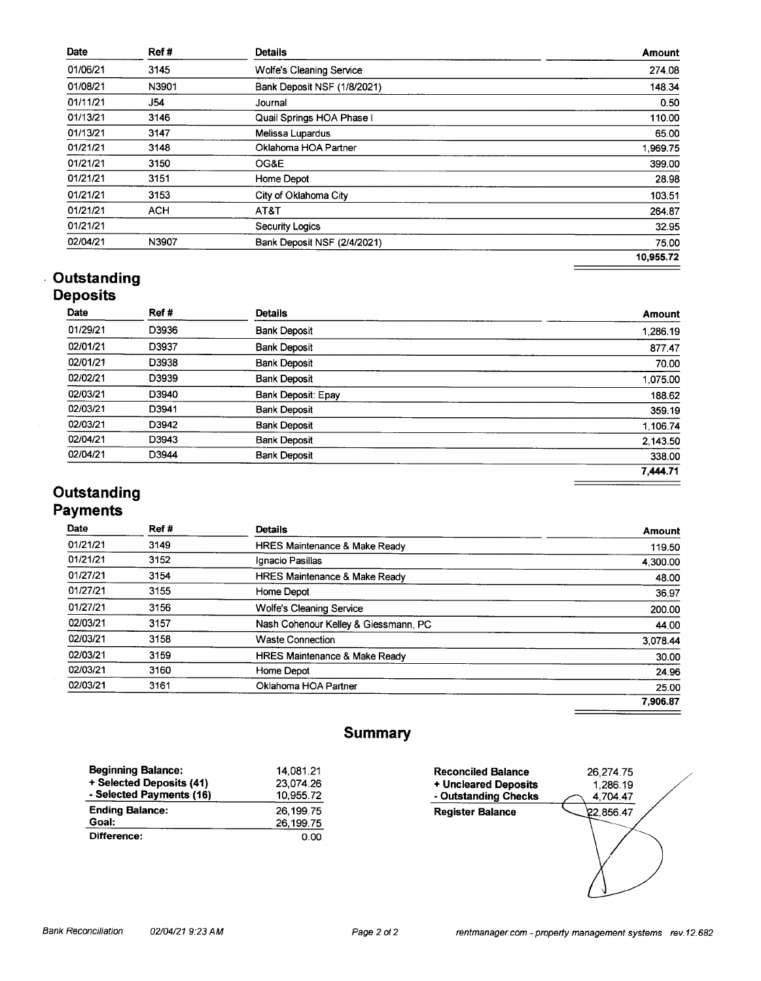| Date     | Ref#       | <b>Details</b>                  | <b>Amount</b> |
|----------|------------|---------------------------------|---------------|
| 01/06/21 | 3145       | <b>Wolfe's Cleaning Service</b> | 274.08        |
| 01/08/21 | N3901      | Bank Deposit NSF (1/8/2021)     | 148.34        |
| 01/11/21 | J54        | Journal                         | 0.50          |
| 01/13/21 | 3146       | Quail Springs HOA Phase I       | 110.00        |
| 01/13/21 | 3147       | Melissa Lupardus                | 65.00         |
| 01/21/21 | 3148       | Oklahoma HOA Partner            | 1,969.75      |
| 01/21/21 | 3150       | OG&E                            | 399.00        |
| 01/21/21 | 3151       | Home Depot                      | 28.98         |
| 01/21/21 | 3153       | City of Oklahoma City           | 103.51        |
| 01/21/21 | <b>ACH</b> | AT&T                            | 264.87        |
| 01/21/21 |            | <b>Security Logics</b>          | 32.95         |
| 02/04/21 | N3907      | Bank Deposit NSF (2/4/2021)     | 75.00         |
|          |            |                                 | 10,955.72     |

### **Outstanding Deposits**

| Date     | Ref#  | <b>Details</b>      | Amount   |
|----------|-------|---------------------|----------|
| 01/29/21 | D3936 | <b>Bank Deposit</b> | 1,286.19 |
| 02/01/21 | D3937 | <b>Bank Deposit</b> | 877.47   |
| 02/01/21 | D3938 | <b>Bank Deposit</b> | 70.00    |
| 02/02/21 | D3939 | <b>Bank Deposit</b> | 1,075.00 |
| 02/03/21 | D3940 | Bank Deposit: Epay  | 188.62   |
| 02/03/21 | D3941 | <b>Bank Deposit</b> | 359.19   |
| 02/03/21 | D3942 | <b>Bank Deposit</b> | 1,106.74 |
| 02/04/21 | D3943 | <b>Bank Deposit</b> | 2,143.50 |
| 02/04/21 | D3944 | <b>Bank Deposit</b> | 338.00   |
|          |       |                     | 7,444.71 |
|          |       |                     |          |

### Outstanding **Payments**

| Ref # | <b>Details</b>                           | Amount   |
|-------|------------------------------------------|----------|
| 3149  | HRES Maintenance & Make Ready            | 119.50   |
| 3152  | Ignacio Pasillas                         | 4,300.00 |
| 3154  | HRES Maintenance & Make Ready            | 48.00    |
| 3155  | Home Depot                               | 36.97    |
| 3156  | <b>Wolfe's Cleaning Service</b>          | 200.00   |
| 3157  | Nash Cohenour Kelley & Giessmann, PC     | 44.00    |
| 3158  | <b>Waste Connection</b>                  | 3.078.44 |
| 3159  | <b>HRES Maintenance &amp; Make Ready</b> | 30.00    |
| 3160  | Home Depot                               | 24.96    |
| 3161  | Oklahoma HOA Partner                     | 25.00    |
|       |                                          | 7.906.87 |
|       |                                          |          |

## **Summary**

| <b>Beginning Balance:</b> | 14.081.21   |
|---------------------------|-------------|
| + Selected Deposits (41)  | 23.074.26   |
| - Selected Payments (16)  | 10,955.72   |
| <b>Ending Balance:</b>    | 26, 199. 75 |
| Goal:                     | 26,199.75   |
| Difference:               | 0.00        |

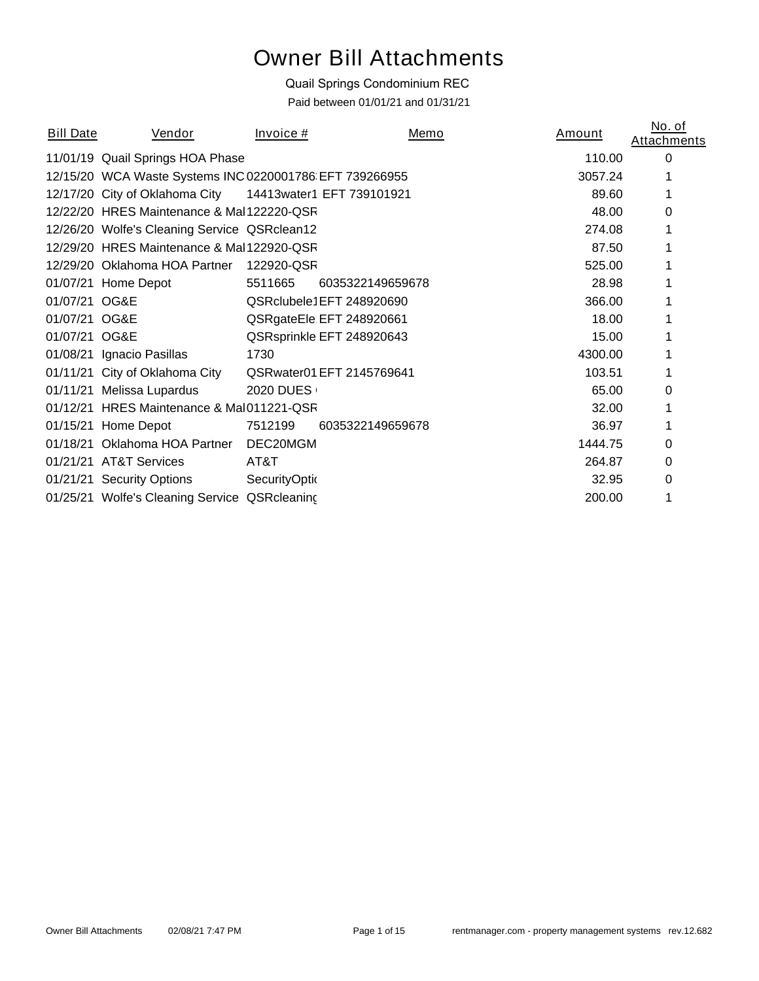# Owner Bill Attachments

## Quail Springs Condominium REC

*Paid between 01/01/21 and 01/31/21*

| <b>Bill Date</b> | Vendor                                                  | Invoice #             |                           | Memo | Amount  | No. of<br><b>Attachments</b> |
|------------------|---------------------------------------------------------|-----------------------|---------------------------|------|---------|------------------------------|
|                  | 11/01/19 Quail Springs HOA Phase                        |                       |                           |      | 110.00  | 0                            |
|                  | 12/15/20 WCA Waste Systems INC 0220001786 EFT 739266955 |                       |                           |      | 3057.24 |                              |
|                  | 12/17/20 City of Oklahoma City                          |                       | 14413water1 EFT 739101921 |      | 89.60   |                              |
|                  | 12/22/20 HRES Maintenance & Mal122220-QSR               |                       |                           |      | 48.00   | 0                            |
|                  | 12/26/20 Wolfe's Cleaning Service QSRclean12            |                       |                           |      | 274.08  |                              |
|                  | 12/29/20 HRES Maintenance & Mal 122920-QSR              |                       |                           |      | 87.50   |                              |
|                  | 12/29/20 Oklahoma HOA Partner                           | 122920-QSR            |                           |      | 525.00  |                              |
|                  | 01/07/21 Home Depot                                     | 5511665               | 6035322149659678          |      | 28.98   |                              |
| 01/07/21 OG&E    |                                                         |                       | QSRclubele1EFT 248920690  |      | 366.00  |                              |
| 01/07/21 OG&E    |                                                         |                       | QSRgateEle EFT 248920661  |      | 18.00   |                              |
| 01/07/21 OG&E    |                                                         |                       | QSRsprinkle EFT 248920643 |      | 15.00   |                              |
|                  | 01/08/21 Ignacio Pasillas                               | 1730                  |                           |      | 4300.00 |                              |
|                  | 01/11/21 City of Oklahoma City                          |                       | QSRwater01 EFT 2145769641 |      | 103.51  |                              |
|                  | 01/11/21 Melissa Lupardus                               | 2020 DUES             |                           |      | 65.00   | 0                            |
|                  | 01/12/21 HRES Maintenance & Mal011221-QSR               |                       |                           |      | 32.00   |                              |
|                  | 01/15/21 Home Depot                                     | 7512199               | 6035322149659678          |      | 36.97   |                              |
| 01/18/21         | Oklahoma HOA Partner                                    | DEC20MGM              |                           |      | 1444.75 | 0                            |
|                  | 01/21/21 AT&T Services                                  | AT&T                  |                           |      | 264.87  | 0                            |
|                  | 01/21/21 Security Options                               | <b>SecurityOption</b> |                           |      | 32.95   | 0                            |
|                  | 01/25/21 Wolfe's Cleaning Service QSRcleaning           |                       |                           |      | 200.00  |                              |